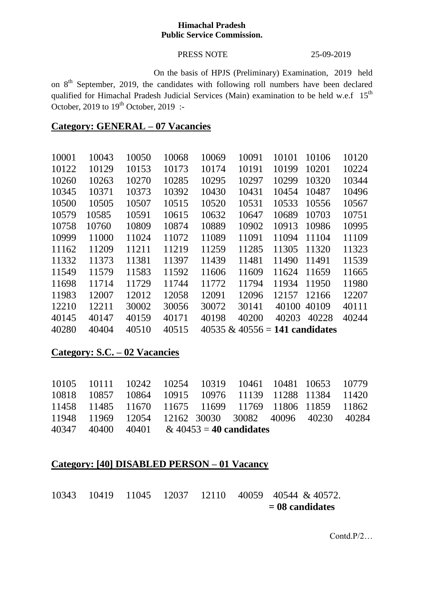### **Himachal Pradesh Public Service Commission.**

## PRESS NOTE 25-09-2019

On the basis of HPJS (Preliminary) Examination, 2019 held on 8<sup>th</sup> September, 2019, the candidates with following roll numbers have been declared qualified for Himachal Pradesh Judicial Services (Main) examination to be held w.e.f 15<sup>th</sup> October, 2019 to  $19<sup>th</sup>$  October, 2019 :-

# **Category: GENERAL – 07 Vacancies**

| 10001 | 10043 | 10050 | 10068 | 10069 | 10091                             | 10101 | 10106 | 10120 |
|-------|-------|-------|-------|-------|-----------------------------------|-------|-------|-------|
| 10122 | 10129 | 10153 | 10173 | 10174 | 10191                             | 10199 | 10201 | 10224 |
| 10260 | 10263 | 10270 | 10285 | 10295 | 10297                             | 10299 | 10320 | 10344 |
| 10345 | 10371 | 10373 | 10392 | 10430 | 10431                             | 10454 | 10487 | 10496 |
| 10500 | 10505 | 10507 | 10515 | 10520 | 10531                             | 10533 | 10556 | 10567 |
| 10579 | 10585 | 10591 | 10615 | 10632 | 10647                             | 10689 | 10703 | 10751 |
| 10758 | 10760 | 10809 | 10874 | 10889 | 10902                             | 10913 | 10986 | 10995 |
| 10999 | 11000 | 11024 | 11072 | 11089 | 11091                             | 11094 | 11104 | 11109 |
| 11162 | 11209 | 11211 | 11219 | 11259 | 11285                             | 11305 | 11320 | 11323 |
| 11332 | 11373 | 11381 | 11397 | 11439 | 11481                             | 11490 | 11491 | 11539 |
| 11549 | 11579 | 11583 | 11592 | 11606 | 11609                             | 11624 | 11659 | 11665 |
| 11698 | 11714 | 11729 | 11744 | 11772 | 11794                             | 11934 | 11950 | 11980 |
| 11983 | 12007 | 12012 | 12058 | 12091 | 12096                             | 12157 | 12166 | 12207 |
| 12210 | 12211 | 30002 | 30056 | 30072 | 30141                             | 40100 | 40109 | 40111 |
| 40145 | 40147 | 40159 | 40171 | 40198 | 40200                             | 40203 | 40228 | 40244 |
| 40280 | 40404 | 40510 | 40515 |       | $40535 \& 40556 = 141$ candidates |       |       |       |

## **Category: S.C. – 02 Vacancies**

|  |  | 10105 10111 10242 10254 10319 10461 10481 10653 10779 |  |  |
|--|--|-------------------------------------------------------|--|--|
|  |  | 10818 10857 10864 10915 10976 11139 11288 11384 11420 |  |  |
|  |  | 11458 11485 11670 11675 11699 11769 11806 11859 11862 |  |  |
|  |  | 11948 11969 12054 12162 30030 30082 40096 40230 40284 |  |  |
|  |  | $40347$ $40400$ $40401$ & $40453 = 40$ candidates     |  |  |

# **Category: [40] DISABLED PERSON – 01 Vacancy**

10343 10419 11045 12037 12110 40059 40544 & 40572.  **= 08 candidates**

Contd.P/2…